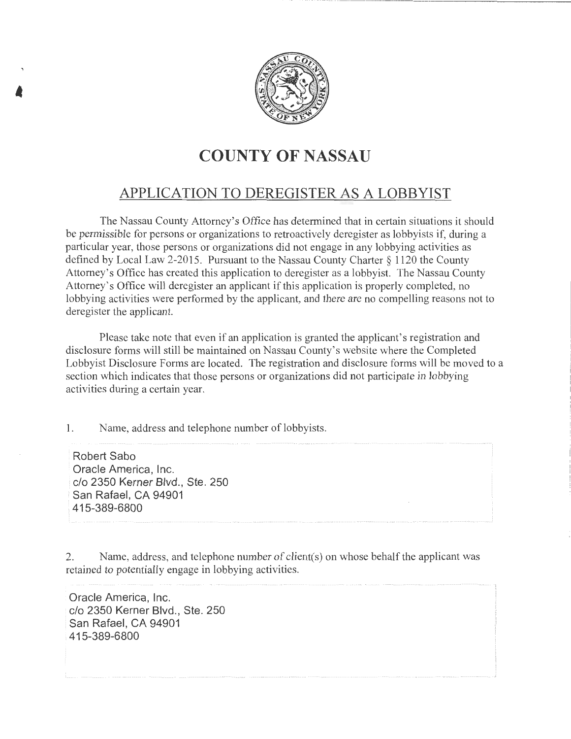

## **COUNTY OF NASSAU**

## APPLICATION TO DEREGISTER AS A LOBBYIST

The Nassau County Attorney's Office has determined that in certain situations it should be permissible for persons or organizations to retroactively deregister as lobbyists if, during a particular year, those persons or organizations did not engage in any lobbying activities as defined by Local Law 2-2015. Pursuant to the Nassau County Charter§ 1120 the County Attorney's Office has created this application to deregister as a lobbyist. The Nassau County Attorney's Office will deregister an applicant if this application is properly completed, no lobbying activities were performed by the applicant, and there are no compelling reasons not to deregister the applicant.

Please take note that even if an application is granted the applicant's registration and disclosure forms will still be maintained on Nassau County's website where the Completed Lobbyist Disclosure Forms are located. The registration and disclosure forms will be moved to a section which indicates that those persons or organizations did not participate in lobbying activities during a certain year.

1. Name, address and telephone number of lobbyists.

Robert Saba Oracle America, Inc. c/o 2350 Kerner Blvd., Ste. 250 San Rafael, CA 94901 415-389-6800

•

2. Name, address, and telephone number of client(s) on whose behalf the applicant was retained to potentially engage in lobbying activities.

Oracle America, Inc. c/o 2350 Kerner Blvd., Ste. 250 San Rafael, CA 94901 415-389-6800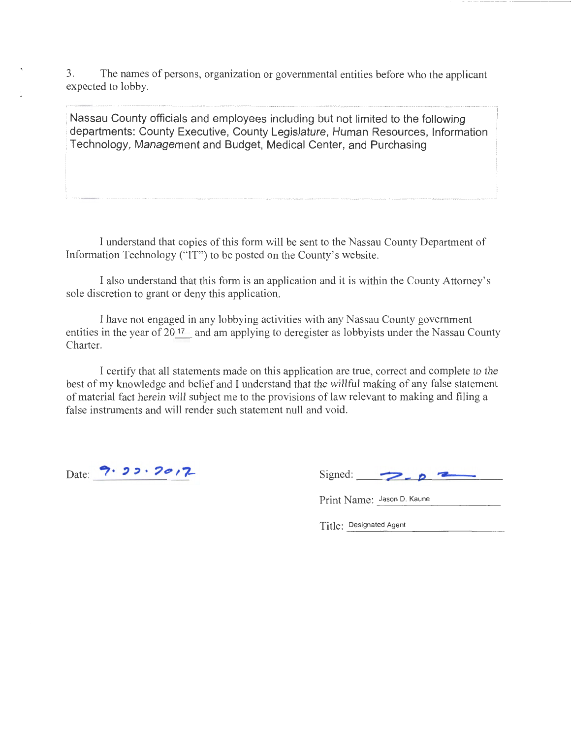3. The names of persons, organization or governmental entities before who the applicant expected to lobby.

Nassau County officials and employees including but not limited to the following departments: County Executive, County Legislature, Human Resources, Information Technology, Management and Budget, Medical Center, and Purchasing

I understand that copies of this form will be sent to the Nassau County Department of Information Technology ("IT") to be posted on the County's website.

I also understand that this form is an application and it is within the County Attorney's sole discretion to grant or deny this application.

I have not engaged in any lobbying activities with any Nassau County government entities in the year of  $20^{17}$  and am applying to deregister as lobbyists under the Nassau County Charter.

I certify that all statements made on this application are true, correct and complete to the best of my knowledge and belief and I understand that the willful making of any false statement of material fact herein will subject me to the provisions of law relevant to making and filing a false instruments and will render such statement null and void.

Date: 7. 22. 2017

| Signed: |  |  |
|---------|--|--|
|         |  |  |

Print Name: Jason D. Kaune

Title: Designated Agent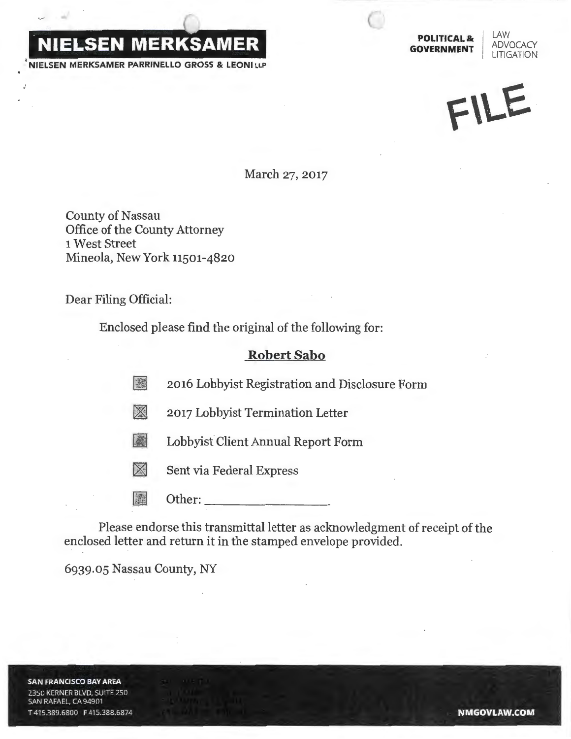

**POLITICAL & LAW<br><b>GOVERNMENT** ADVOCACY

I LAW **LITIGATION** 

FILE

March 27, 2017

County of Nassau Office of the County Attorney 1 West Street Mineola, New York 11501-4820

Dear Filing Official:

Enclosed please find the original of the following for:

## **Robert Sabo**

2016 Lobbyist Registration and Disclosure Form

2017 Lobbyist Termination Letter

All Lobbyist Client Annual Report Form

 $\boxtimes$  Sent via Federal Express

**| 圖** Other:

Please endorse this transmittal letter as acknowledgment of receipt of the enclosed letter and return it in the stamped envelope provided.

6939.05 Nassau County, NY

**SAN FRANCISCO BAY AREA** 2350 KERNER BLVD, SUITE 250 SAN RAFAEL, CA 94901 T415.389.6800 F415.388.6874